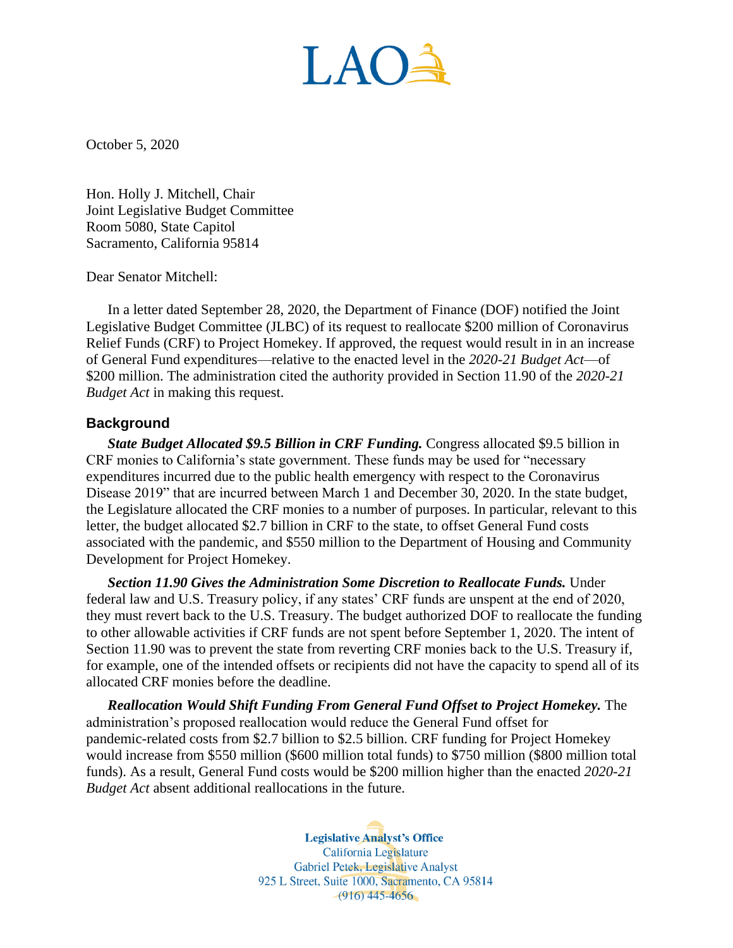LAOÀ

October 5, 2020

Hon. Holly J. Mitchell, Chair Joint Legislative Budget Committee Room 5080, State Capitol Sacramento, California 95814

Dear Senator Mitchell:

In a letter dated September 28, 2020, the Department of Finance (DOF) notified the Joint Legislative Budget Committee (JLBC) of its request to reallocate \$200 million of Coronavirus Relief Funds (CRF) to Project Homekey. If approved, the request would result in in an increase of General Fund expenditures—relative to the enacted level in the *2020-21 Budget Act*—of \$200 million. The administration cited the authority provided in Section 11.90 of the *2020-21 Budget Act* in making this request.

## **Background**

*State Budget Allocated \$9.5 Billion in CRF Funding.* Congress allocated \$9.5 billion in CRF monies to California's state government. These funds may be used for "necessary expenditures incurred due to the public health emergency with respect to the Coronavirus Disease 2019" that are incurred between March 1 and December 30, 2020. In the state budget, the Legislature allocated the CRF monies to a number of purposes. In particular, relevant to this letter, the budget allocated \$2.7 billion in CRF to the state, to offset General Fund costs associated with the pandemic, and \$550 million to the Department of Housing and Community Development for Project Homekey.

*Section 11.90 Gives the Administration Some Discretion to Reallocate Funds.* Under federal law and U.S. Treasury policy, if any states' CRF funds are unspent at the end of 2020, they must revert back to the U.S. Treasury. The budget authorized DOF to reallocate the funding to other allowable activities if CRF funds are not spent before September 1, 2020. The intent of Section 11.90 was to prevent the state from reverting CRF monies back to the U.S. Treasury if, for example, one of the intended offsets or recipients did not have the capacity to spend all of its allocated CRF monies before the deadline.

**Reallocation Would Shift Funding From General Fund Offset to Project Homekey.** The administration's proposed reallocation would reduce the General Fund offset for pandemic-related costs from \$2.7 billion to \$2.5 billion. CRF funding for Project Homekey would increase from \$550 million (\$600 million total funds) to \$750 million (\$800 million total funds). As a result, General Fund costs would be \$200 million higher than the enacted *2020-21 Budget Act* absent additional reallocations in the future*.* 

> **Legislative Analyst's Office** California Legislature Gabriel Petek, Legislative Analyst 925 L Street, Suite 1000, Sacramento, CA 95814  $-(916)$  445-4656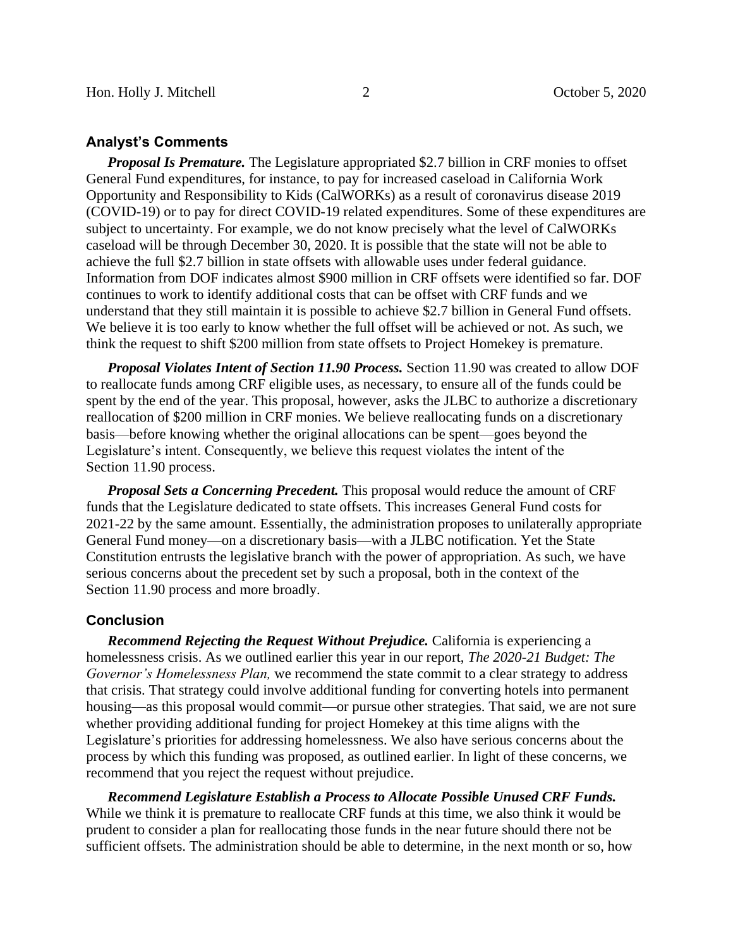## **Analyst's Comments**

*Proposal Is Premature.* The Legislature appropriated \$2.7 billion in CRF monies to offset General Fund expenditures, for instance, to pay for increased caseload in California Work Opportunity and Responsibility to Kids (CalWORKs) as a result of coronavirus disease 2019 (COVID-19) or to pay for direct COVID-19 related expenditures. Some of these expenditures are subject to uncertainty. For example, we do not know precisely what the level of CalWORKs caseload will be through December 30, 2020. It is possible that the state will not be able to achieve the full \$2.7 billion in state offsets with allowable uses under federal guidance. Information from DOF indicates almost \$900 million in CRF offsets were identified so far. DOF continues to work to identify additional costs that can be offset with CRF funds and we understand that they still maintain it is possible to achieve \$2.7 billion in General Fund offsets. We believe it is too early to know whether the full offset will be achieved or not. As such, we think the request to shift \$200 million from state offsets to Project Homekey is premature.

*Proposal Violates Intent of Section 11.90 Process.* Section 11.90 was created to allow DOF to reallocate funds among CRF eligible uses, as necessary, to ensure all of the funds could be spent by the end of the year. This proposal, however, asks the JLBC to authorize a discretionary reallocation of \$200 million in CRF monies. We believe reallocating funds on a discretionary basis—before knowing whether the original allocations can be spent—goes beyond the Legislature's intent. Consequently, we believe this request violates the intent of the Section 11.90 process.

*Proposal Sets a Concerning Precedent.* This proposal would reduce the amount of CRF funds that the Legislature dedicated to state offsets. This increases General Fund costs for 2021-22 by the same amount. Essentially, the administration proposes to unilaterally appropriate General Fund money—on a discretionary basis—with a JLBC notification. Yet the State Constitution entrusts the legislative branch with the power of appropriation. As such, we have serious concerns about the precedent set by such a proposal, both in the context of the Section 11.90 process and more broadly.

## **Conclusion**

*Recommend Rejecting the Request Without Prejudice.* California is experiencing a homelessness crisis. As we outlined earlier this year in our report, *The 2020-21 Budget: The Governor's Homelessness Plan,* we recommend the state commit to a clear strategy to address that crisis. That strategy could involve additional funding for converting hotels into permanent housing—as this proposal would commit—or pursue other strategies. That said, we are not sure whether providing additional funding for project Homekey at this time aligns with the Legislature's priorities for addressing homelessness. We also have serious concerns about the process by which this funding was proposed, as outlined earlier. In light of these concerns, we recommend that you reject the request without prejudice.

*Recommend Legislature Establish a Process to Allocate Possible Unused CRF Funds.*  While we think it is premature to reallocate CRF funds at this time, we also think it would be prudent to consider a plan for reallocating those funds in the near future should there not be sufficient offsets. The administration should be able to determine, in the next month or so, how